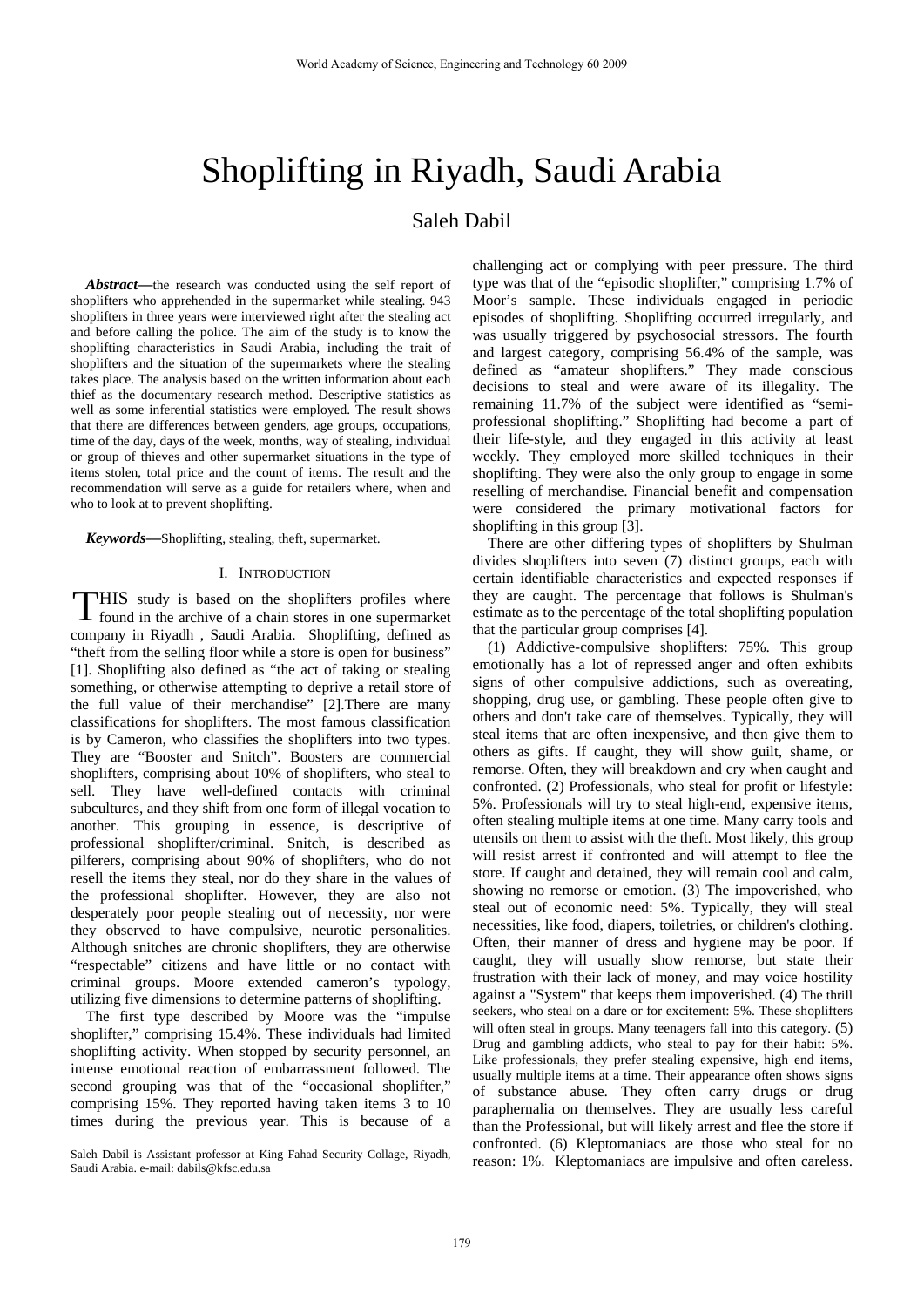# Shoplifting in Riyadh, Saudi Arabia

# Saleh Dabil

Abstract—the research was conducted using the self report of shoplifters who apprehended in the supermarket while stealing. 943 shoplifters in three years were interviewed right after the stealing act and before calling the police. The aim of the study is to know the shoplifting characteristics in Saudi Arabia, including the trait of shoplifters and the situation of the supermarkets where the stealing takes place. The analysis based on the written information about each thief as the documentary research method. Descriptive statistics as well as some inferential statistics were employed. The result shows that there are differences between genders, age groups, occupations, time of the day, days of the week, months, way of stealing, individual or group of thieves and other supermarket situations in the type of items stolen, total price and the count of items. The result and the recommendation will serve as a guide for retailers where, when and who to look at to prevent shoplifting.

*Keywords***—**Shoplifting, stealing, theft, supermarket.

#### I. INTRODUCTION

**HIS** study is based on the shoplifters profiles where THIS study is based on the shoplifters profiles where found in the archive of a chain stores in one supermarket company in Riyadh , Saudi Arabia. Shoplifting, defined as "theft from the selling floor while a store is open for business" [1]. Shoplifting also defined as "the act of taking or stealing something, or otherwise attempting to deprive a retail store of the full value of their merchandise" [2].There are many classifications for shoplifters. The most famous classification is by Cameron, who classifies the shoplifters into two types. They are "Booster and Snitch". Boosters are commercial shoplifters, comprising about 10% of shoplifters, who steal to sell. They have well-defined contacts with criminal subcultures, and they shift from one form of illegal vocation to another. This grouping in essence, is descriptive of professional shoplifter/criminal. Snitch, is described as pilferers, comprising about 90% of shoplifters, who do not resell the items they steal, nor do they share in the values of the professional shoplifter. However, they are also not desperately poor people stealing out of necessity, nor were they observed to have compulsive, neurotic personalities. Although snitches are chronic shoplifters, they are otherwise "respectable" citizens and have little or no contact with criminal groups. Moore extended cameron's typology, utilizing five dimensions to determine patterns of shoplifting.

The first type described by Moore was the "impulse shoplifter," comprising 15.4%. These individuals had limited shoplifting activity. When stopped by security personnel, an intense emotional reaction of embarrassment followed. The second grouping was that of the "occasional shoplifter," comprising 15%. They reported having taken items 3 to 10 times during the previous year. This is because of a

Saleh Dabil is Assistant professor at King Fahad Security Collage, Riyadh, Saudi Arabia. e-mail: dabils@kfsc.edu.sa

challenging act or complying with peer pressure. The third type was that of the "episodic shoplifter," comprising 1.7% of Moor's sample. These individuals engaged in periodic episodes of shoplifting. Shoplifting occurred irregularly, and was usually triggered by psychosocial stressors. The fourth and largest category, comprising 56.4% of the sample, was defined as "amateur shoplifters." They made conscious decisions to steal and were aware of its illegality. The remaining 11.7% of the subject were identified as "semiprofessional shoplifting." Shoplifting had become a part of their life-style, and they engaged in this activity at least weekly. They employed more skilled techniques in their shoplifting. They were also the only group to engage in some reselling of merchandise. Financial benefit and compensation were considered the primary motivational factors for shoplifting in this group [3].

There are other differing types of shoplifters by Shulman divides shoplifters into seven (7) distinct groups, each with certain identifiable characteristics and expected responses if they are caught. The percentage that follows is Shulman's estimate as to the percentage of the total shoplifting population that the particular group comprises [4].

(1) Addictive-compulsive shoplifters: 75%. This group emotionally has a lot of repressed anger and often exhibits signs of other compulsive addictions, such as overeating, shopping, drug use, or gambling. These people often give to others and don't take care of themselves. Typically, they will steal items that are often inexpensive, and then give them to others as gifts. If caught, they will show guilt, shame, or remorse. Often, they will breakdown and cry when caught and confronted. (2) Professionals, who steal for profit or lifestyle: 5%. Professionals will try to steal high-end, expensive items, often stealing multiple items at one time. Many carry tools and utensils on them to assist with the theft. Most likely, this group will resist arrest if confronted and will attempt to flee the store. If caught and detained, they will remain cool and calm, showing no remorse or emotion. (3) The impoverished, who steal out of economic need: 5%. Typically, they will steal necessities, like food, diapers, toiletries, or children's clothing. Often, their manner of dress and hygiene may be poor. If caught, they will usually show remorse, but state their frustration with their lack of money, and may voice hostility against a "System" that keeps them impoverished. (4) The thrill seekers, who steal on a dare or for excitement: 5%. These shoplifters will often steal in groups. Many teenagers fall into this category. (5) Drug and gambling addicts, who steal to pay for their habit: 5%. Like professionals, they prefer stealing expensive, high end items, usually multiple items at a time. Their appearance often shows signs of substance abuse. They often carry drugs or drug paraphernalia on themselves. They are usually less careful than the Professional, but will likely arrest and flee the store if confronted. (6) Kleptomaniacs are those who steal for no reason: 1%. Kleptomaniacs are impulsive and often careless.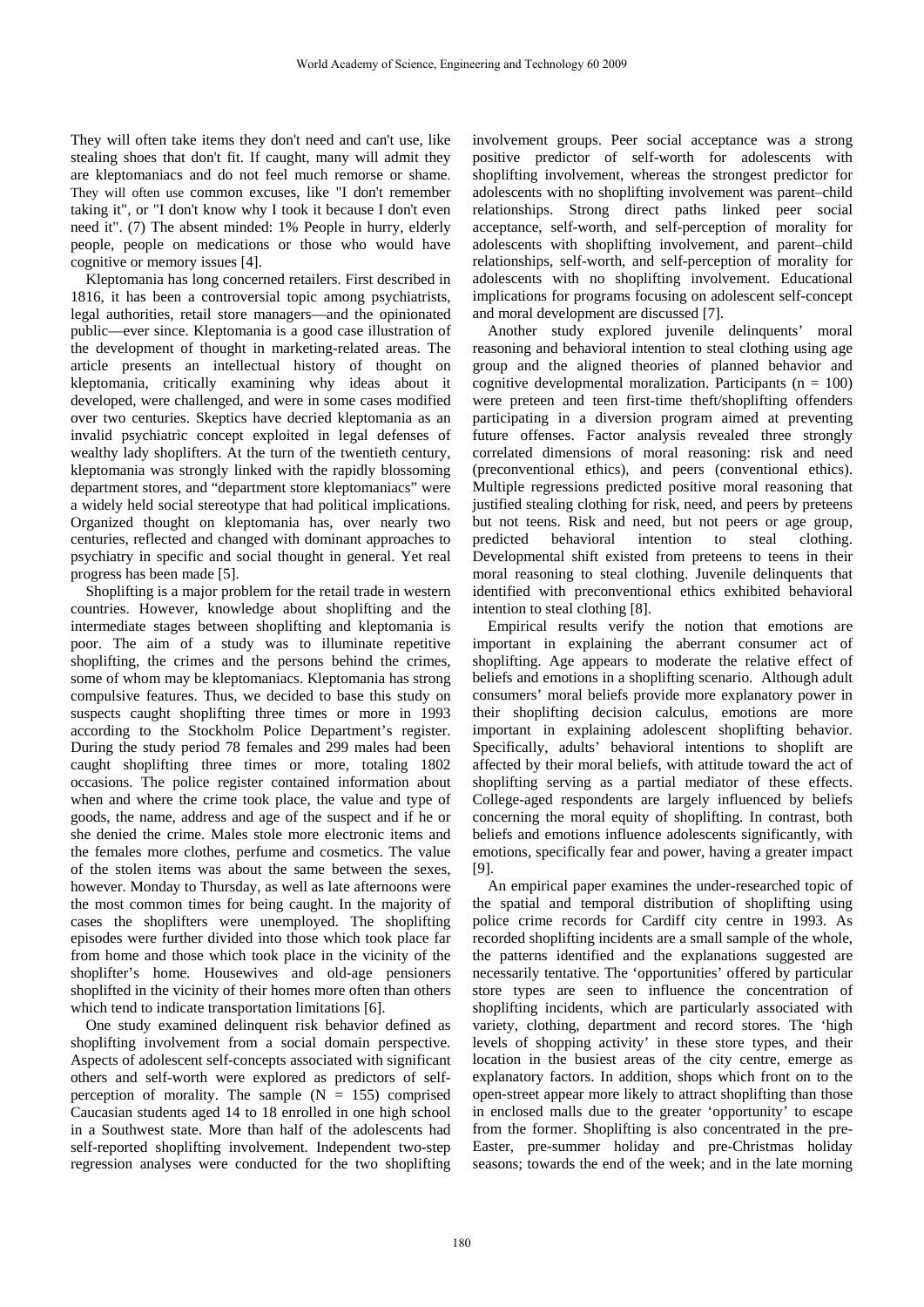They will often take items they don't need and can't use, like stealing shoes that don't fit. If caught, many will admit they are kleptomaniacs and do not feel much remorse or shame. They will often use common excuses, like "I don't remember taking it", or "I don't know why I took it because I don't even need it". (7) The absent minded: 1% People in hurry, elderly people, people on medications or those who would have cognitive or memory issues [4].

Kleptomania has long concerned retailers. First described in 1816, it has been a controversial topic among psychiatrists, legal authorities, retail store managers—and the opinionated public—ever since. Kleptomania is a good case illustration of the development of thought in marketing-related areas. The article presents an intellectual history of thought on kleptomania, critically examining why ideas about it developed, were challenged, and were in some cases modified over two centuries. Skeptics have decried kleptomania as an invalid psychiatric concept exploited in legal defenses of wealthy lady shoplifters. At the turn of the twentieth century, kleptomania was strongly linked with the rapidly blossoming department stores, and "department store kleptomaniacs" were a widely held social stereotype that had political implications. Organized thought on kleptomania has, over nearly two centuries, reflected and changed with dominant approaches to psychiatry in specific and social thought in general. Yet real progress has been made [5].

Shoplifting is a major problem for the retail trade in western countries. However, knowledge about shoplifting and the intermediate stages between shoplifting and kleptomania is poor. The aim of a study was to illuminate repetitive shoplifting, the crimes and the persons behind the crimes, some of whom may be kleptomaniacs. Kleptomania has strong compulsive features. Thus, we decided to base this study on suspects caught shoplifting three times or more in 1993 according to the Stockholm Police Department's register. During the study period 78 females and 299 males had been caught shoplifting three times or more, totaling 1802 occasions. The police register contained information about when and where the crime took place, the value and type of goods, the name, address and age of the suspect and if he or she denied the crime. Males stole more electronic items and the females more clothes, perfume and cosmetics. The value of the stolen items was about the same between the sexes, however. Monday to Thursday, as well as late afternoons were the most common times for being caught. In the majority of cases the shoplifters were unemployed. The shoplifting episodes were further divided into those which took place far from home and those which took place in the vicinity of the shoplifter's home. Housewives and old-age pensioners shoplifted in the vicinity of their homes more often than others which tend to indicate transportation limitations [6].

One study examined delinquent risk behavior defined as shoplifting involvement from a social domain perspective. Aspects of adolescent self-concepts associated with significant others and self-worth were explored as predictors of selfperception of morality. The sample  $(N = 155)$  comprised Caucasian students aged 14 to 18 enrolled in one high school in a Southwest state. More than half of the adolescents had self-reported shoplifting involvement. Independent two-step regression analyses were conducted for the two shoplifting involvement groups. Peer social acceptance was a strong positive predictor of self-worth for adolescents with shoplifting involvement, whereas the strongest predictor for adolescents with no shoplifting involvement was parent–child relationships. Strong direct paths linked peer social acceptance, self-worth, and self-perception of morality for adolescents with shoplifting involvement, and parent–child relationships, self-worth, and self-perception of morality for adolescents with no shoplifting involvement. Educational implications for programs focusing on adolescent self-concept and moral development are discussed [7].

Another study explored juvenile delinquents' moral reasoning and behavioral intention to steal clothing using age group and the aligned theories of planned behavior and cognitive developmental moralization. Participants ( $n = 100$ ) were preteen and teen first-time theft/shoplifting offenders participating in a diversion program aimed at preventing future offenses. Factor analysis revealed three strongly correlated dimensions of moral reasoning: risk and need (preconventional ethics), and peers (conventional ethics). Multiple regressions predicted positive moral reasoning that justified stealing clothing for risk, need, and peers by preteens but not teens. Risk and need, but not peers or age group, predicted behavioral intention to steal clothing. Developmental shift existed from preteens to teens in their moral reasoning to steal clothing. Juvenile delinquents that identified with preconventional ethics exhibited behavioral intention to steal clothing [8].

Empirical results verify the notion that emotions are important in explaining the aberrant consumer act of shoplifting. Age appears to moderate the relative effect of beliefs and emotions in a shoplifting scenario. Although adult consumers' moral beliefs provide more explanatory power in their shoplifting decision calculus, emotions are more important in explaining adolescent shoplifting behavior. Specifically, adults' behavioral intentions to shoplift are affected by their moral beliefs, with attitude toward the act of shoplifting serving as a partial mediator of these effects. College-aged respondents are largely influenced by beliefs concerning the moral equity of shoplifting. In contrast, both beliefs and emotions influence adolescents significantly, with emotions, specifically fear and power, having a greater impact [9].

An empirical paper examines the under-researched topic of the spatial and temporal distribution of shoplifting using police crime records for Cardiff city centre in 1993. As recorded shoplifting incidents are a small sample of the whole, the patterns identified and the explanations suggested are necessarily tentative. The 'opportunities' offered by particular store types are seen to influence the concentration of shoplifting incidents, which are particularly associated with variety, clothing, department and record stores. The 'high levels of shopping activity' in these store types, and their location in the busiest areas of the city centre, emerge as explanatory factors. In addition, shops which front on to the open-street appear more likely to attract shoplifting than those in enclosed malls due to the greater 'opportunity' to escape from the former. Shoplifting is also concentrated in the pre-Easter, pre-summer holiday and pre-Christmas holiday seasons; towards the end of the week; and in the late morning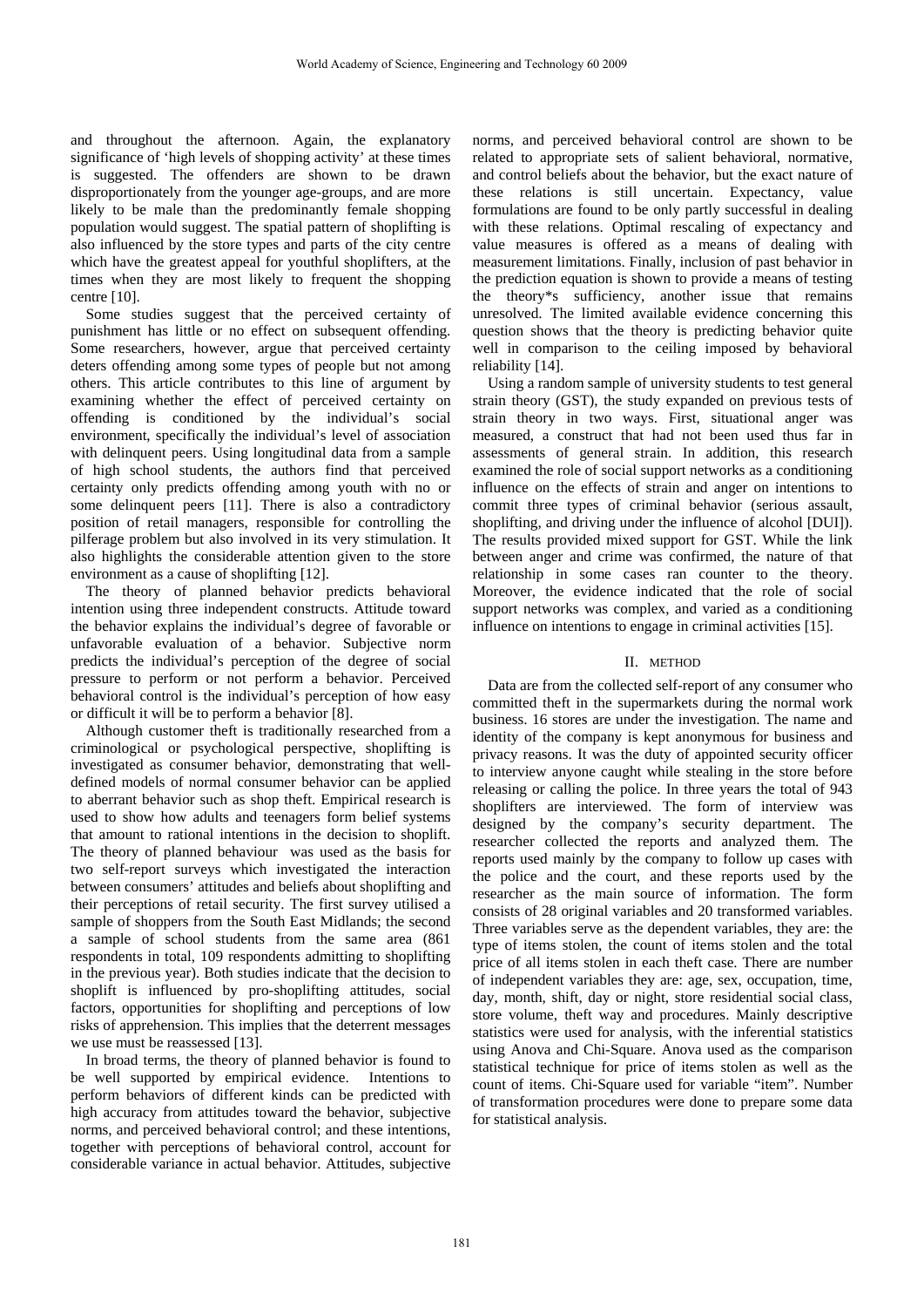and throughout the afternoon. Again, the explanatory significance of 'high levels of shopping activity' at these times is suggested. The offenders are shown to be drawn disproportionately from the younger age-groups, and are more likely to be male than the predominantly female shopping population would suggest. The spatial pattern of shoplifting is also influenced by the store types and parts of the city centre which have the greatest appeal for youthful shoplifters, at the times when they are most likely to frequent the shopping centre [10].

Some studies suggest that the perceived certainty of punishment has little or no effect on subsequent offending. Some researchers, however, argue that perceived certainty deters offending among some types of people but not among others. This article contributes to this line of argument by examining whether the effect of perceived certainty on offending is conditioned by the individual's social environment, specifically the individual's level of association with delinquent peers. Using longitudinal data from a sample of high school students, the authors find that perceived certainty only predicts offending among youth with no or some delinquent peers [11]. There is also a contradictory position of retail managers, responsible for controlling the pilferage problem but also involved in its very stimulation. It also highlights the considerable attention given to the store environment as a cause of shoplifting [12].

The theory of planned behavior predicts behavioral intention using three independent constructs. Attitude toward the behavior explains the individual's degree of favorable or unfavorable evaluation of a behavior. Subjective norm predicts the individual's perception of the degree of social pressure to perform or not perform a behavior. Perceived behavioral control is the individual's perception of how easy or difficult it will be to perform a behavior [8].

Although customer theft is traditionally researched from a criminological or psychological perspective, shoplifting is investigated as consumer behavior, demonstrating that welldefined models of normal consumer behavior can be applied to aberrant behavior such as shop theft. Empirical research is used to show how adults and teenagers form belief systems that amount to rational intentions in the decision to shoplift. The theory of planned behaviour was used as the basis for two self-report surveys which investigated the interaction between consumers' attitudes and beliefs about shoplifting and their perceptions of retail security. The first survey utilised a sample of shoppers from the South East Midlands; the second a sample of school students from the same area (861 respondents in total, 109 respondents admitting to shoplifting in the previous year). Both studies indicate that the decision to shoplift is influenced by pro-shoplifting attitudes, social factors, opportunities for shoplifting and perceptions of low risks of apprehension. This implies that the deterrent messages we use must be reassessed [13].

In broad terms, the theory of planned behavior is found to be well supported by empirical evidence. Intentions to perform behaviors of different kinds can be predicted with high accuracy from attitudes toward the behavior, subjective norms, and perceived behavioral control; and these intentions, together with perceptions of behavioral control, account for considerable variance in actual behavior. Attitudes, subjective

norms, and perceived behavioral control are shown to be related to appropriate sets of salient behavioral, normative, and control beliefs about the behavior, but the exact nature of these relations is still uncertain. Expectancy, value formulations are found to be only partly successful in dealing with these relations. Optimal rescaling of expectancy and value measures is offered as a means of dealing with measurement limitations. Finally, inclusion of past behavior in the prediction equation is shown to provide a means of testing the theory\*s sufficiency, another issue that remains unresolved. The limited available evidence concerning this question shows that the theory is predicting behavior quite well in comparison to the ceiling imposed by behavioral reliability [14].

Using a random sample of university students to test general strain theory (GST), the study expanded on previous tests of strain theory in two ways. First, situational anger was measured, a construct that had not been used thus far in assessments of general strain. In addition, this research examined the role of social support networks as a conditioning influence on the effects of strain and anger on intentions to commit three types of criminal behavior (serious assault, shoplifting, and driving under the influence of alcohol [DUI]). The results provided mixed support for GST. While the link between anger and crime was confirmed, the nature of that relationship in some cases ran counter to the theory. Moreover, the evidence indicated that the role of social support networks was complex, and varied as a conditioning influence on intentions to engage in criminal activities [15].

#### II. METHOD

Data are from the collected self-report of any consumer who committed theft in the supermarkets during the normal work business. 16 stores are under the investigation. The name and identity of the company is kept anonymous for business and privacy reasons. It was the duty of appointed security officer to interview anyone caught while stealing in the store before releasing or calling the police. In three years the total of 943 shoplifters are interviewed. The form of interview was designed by the company's security department. The researcher collected the reports and analyzed them. The reports used mainly by the company to follow up cases with the police and the court, and these reports used by the researcher as the main source of information. The form consists of 28 original variables and 20 transformed variables. Three variables serve as the dependent variables, they are: the type of items stolen, the count of items stolen and the total price of all items stolen in each theft case. There are number of independent variables they are: age, sex, occupation, time, day, month, shift, day or night, store residential social class, store volume, theft way and procedures. Mainly descriptive statistics were used for analysis, with the inferential statistics using Anova and Chi-Square. Anova used as the comparison statistical technique for price of items stolen as well as the count of items. Chi-Square used for variable "item". Number of transformation procedures were done to prepare some data for statistical analysis.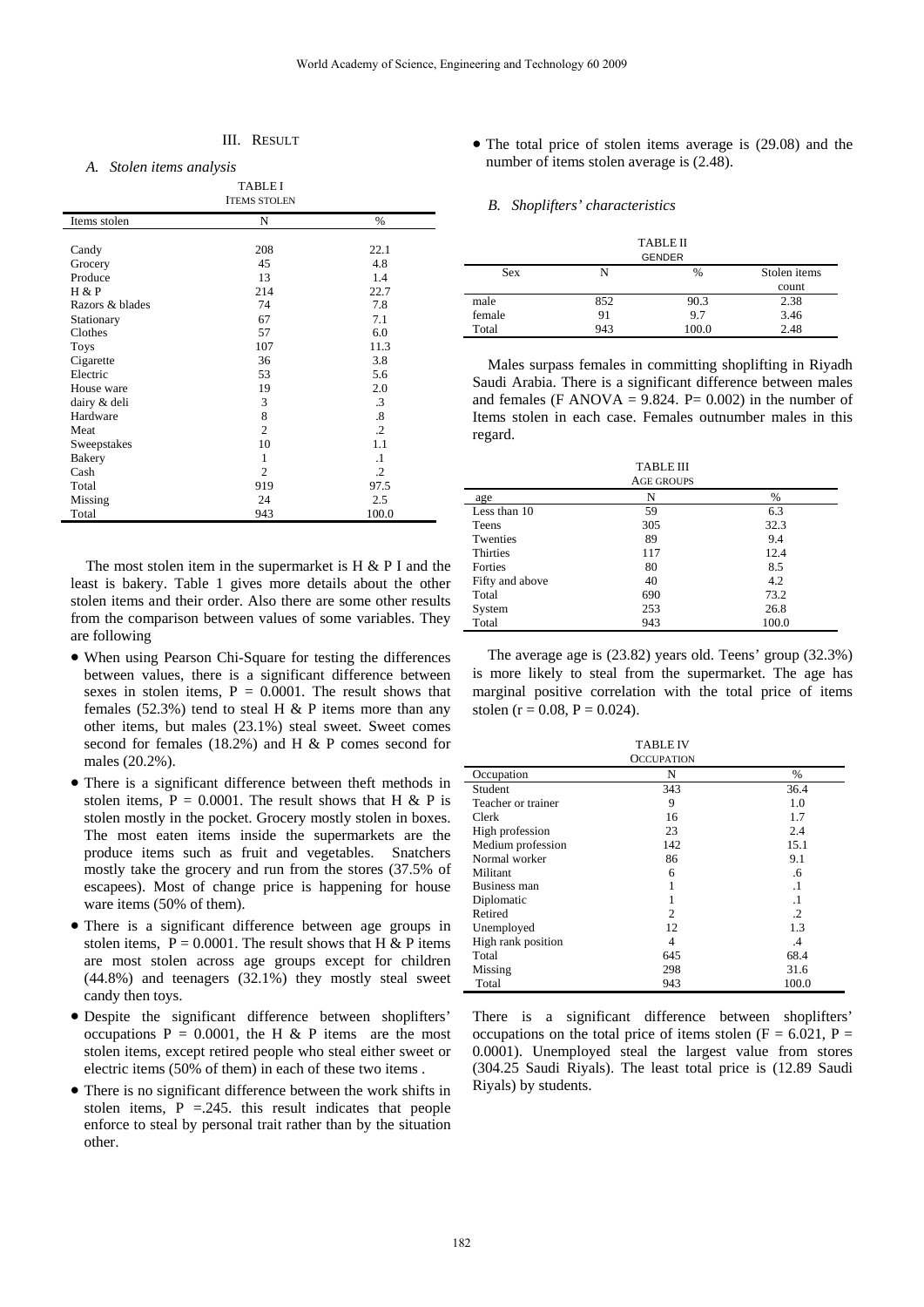# III. RESULT

#### *A. Stolen items analysis*

|                 | <b>TABLE I</b>      |                   |
|-----------------|---------------------|-------------------|
|                 | <b>ITEMS STOLEN</b> |                   |
| Items stolen    | N                   | $\%$              |
|                 |                     |                   |
| Candy           | 208                 | 22.1              |
| Grocery         | 45                  | 4.8               |
| Produce         | 13                  | 1.4               |
| H & P           | 214                 | 22.7              |
| Razors & blades | 74                  | 7.8               |
| Stationary      | 67                  | 7.1               |
| Clothes         | 57                  | 6.0               |
| Toys            | 107                 | 11.3              |
| Cigarette       | 36                  | 3.8               |
| Electric        | 53                  | 5.6               |
| House ware      | 19                  | 2.0               |
| dairy & deli    | 3                   | $\cdot$ 3         |
| Hardware        | 8                   | $\boldsymbol{.8}$ |
| Meat            | $\overline{2}$      | $\cdot$           |
| Sweepstakes     | 10                  | 1.1               |
| Bakery          | 1                   | $\cdot$ 1         |
| Cash            | $\overline{2}$      | $\cdot$           |
| Total           | 919                 | 97.5              |
| Missing         | 24                  | 2.5               |
| Total           | 943                 | 100.0             |

The most stolen item in the supermarket is  $H \& P I$  and the least is bakery. Table 1 gives more details about the other stolen items and their order. Also there are some other results from the comparison between values of some variables. They are following

- When using Pearson Chi-Square for testing the differences between values, there is a significant difference between sexes in stolen items,  $P = 0.0001$ . The result shows that females  $(52.3\%)$  tend to steal H & P items more than any other items, but males (23.1%) steal sweet. Sweet comes second for females (18.2%) and H & P comes second for males (20.2%).
- There is a significant difference between theft methods in stolen items,  $P = 0.0001$ . The result shows that H & P is stolen mostly in the pocket. Grocery mostly stolen in boxes. The most eaten items inside the supermarkets are the produce items such as fruit and vegetables. Snatchers mostly take the grocery and run from the stores (37.5% of escapees). Most of change price is happening for house ware items (50% of them).
- There is a significant difference between age groups in stolen items,  $P = 0.0001$ . The result shows that H & P items are most stolen across age groups except for children (44.8%) and teenagers (32.1%) they mostly steal sweet candy then toys.
- Despite the significant difference between shoplifters' occupations  $P = 0.0001$ , the H & P items are the most stolen items, except retired people who steal either sweet or electric items (50% of them) in each of these two items .
- There is no significant difference between the work shifts in stolen items,  $P = 0.245$ . this result indicates that people enforce to steal by personal trait rather than by the situation other.

• The total price of stolen items average is (29.08) and the number of items stolen average is (2.48).

#### *B. Shoplifters' characteristics*

|            |     | <b>TABLE II</b><br><b>GENDER</b> |                       |
|------------|-----|----------------------------------|-----------------------|
| <b>Sex</b> | N   | %                                | Stolen items<br>count |
| male       | 852 | 90.3                             | 2.38                  |
| female     | 91  | 9.7                              | 3.46                  |
| Total      | 943 | 100.0                            | 2.48                  |

Males surpass females in committing shoplifting in Riyadh Saudi Arabia. There is a significant difference between males and females (F ANOVA =  $9.824$ . P= 0.002) in the number of Items stolen in each case. Females outnumber males in this regard.

|                 | <b>TABLE III</b><br><b>AGE GROUPS</b> |       |
|-----------------|---------------------------------------|-------|
| age             | N                                     | %     |
| Less than 10    | 59                                    | 6.3   |
| Teens           | 305                                   | 32.3  |
| Twenties        | 89                                    | 9.4   |
| Thirties        | 117                                   | 12.4  |
| Forties         | 80                                    | 8.5   |
| Fifty and above | 40                                    | 4.2   |
| Total           | 690                                   | 73.2  |
| System          | 253                                   | 26.8  |
| Total           | 943                                   | 100.0 |

The average age is (23.82) years old. Teens' group (32.3%) is more likely to steal from the supermarket. The age has marginal positive correlation with the total price of items stolen ( $r = 0.08$ ,  $P = 0.024$ ).

|                    | <b>TABLE IV</b>   |         |
|--------------------|-------------------|---------|
|                    | <b>OCCUPATION</b> |         |
| Occupation         | N                 | %       |
| Student            | 343               | 36.4    |
| Teacher or trainer | 9                 | 1.0     |
| Clerk              | 16                | 1.7     |
| High profession    | 23                | 2.4     |
| Medium profession  | 142               | 15.1    |
| Normal worker      | 86                | 9.1     |
| Militant           | 6                 | .6      |
| Business man       | 1                 | $\cdot$ |
| Diplomatic         | 1                 | $\cdot$ |
| Retired            | 2                 | $\cdot$ |
| Unemployed         | 12                | 1.3     |
| High rank position | 4                 | .4      |
| Total              | 645               | 68.4    |
| Missing            | 298               | 31.6    |
| Total              | 943               | 100.0   |

There is a significant difference between shoplifters' occupations on the total price of items stolen ( $F = 6.021$ ,  $P =$ 0.0001). Unemployed steal the largest value from stores (304.25 Saudi Riyals). The least total price is (12.89 Saudi Riyals) by students.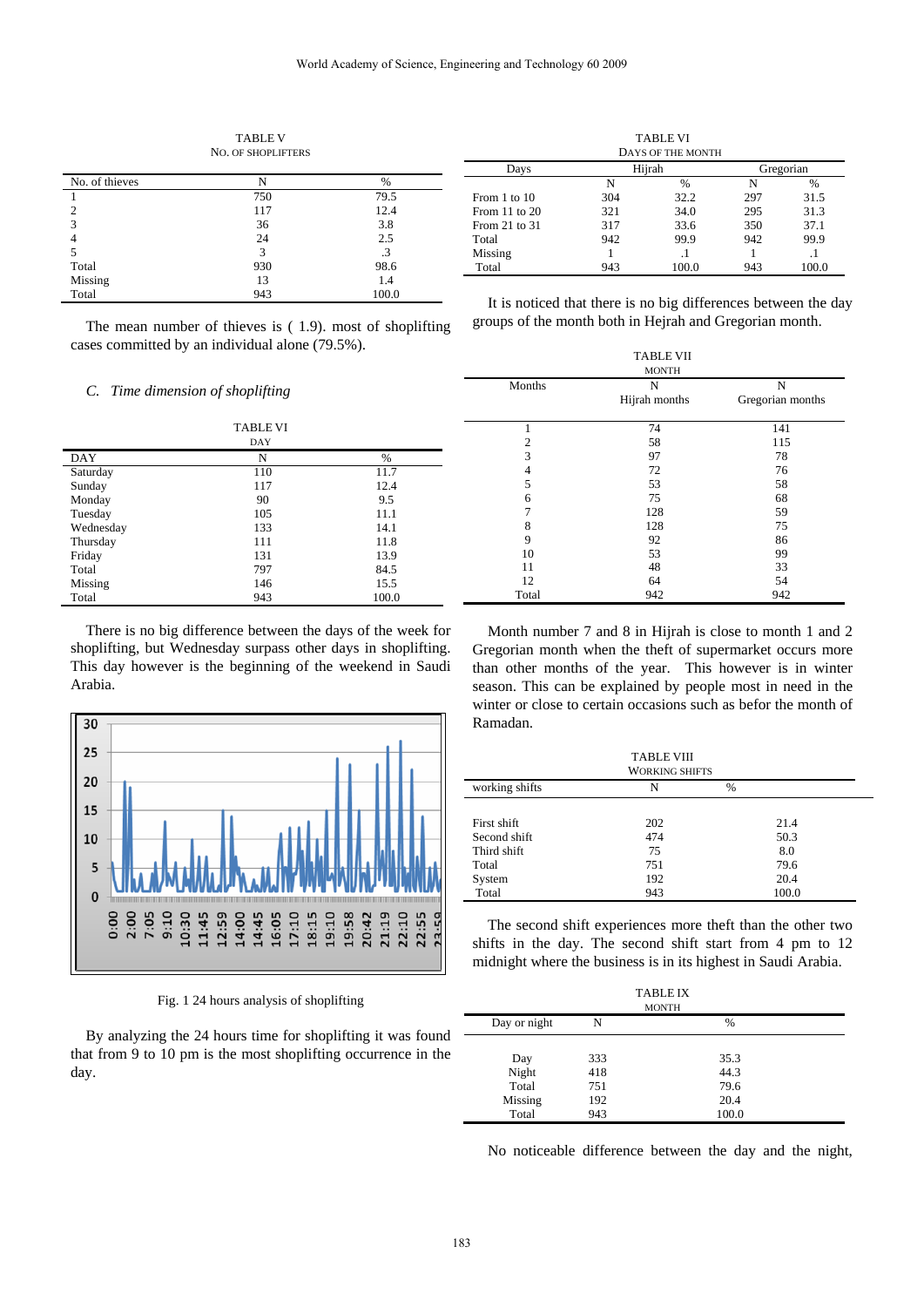| <b>TABLE V</b><br><b>NO. OF SHOPLIFTERS</b> |     | <b>TABLE VI</b><br>DAYS OF THE MONTH |                                                                                                                 |     |                 |                |              |
|---------------------------------------------|-----|--------------------------------------|-----------------------------------------------------------------------------------------------------------------|-----|-----------------|----------------|--------------|
|                                             |     |                                      | Days                                                                                                            |     | Hijrah          |                | Gregorian    |
| No. of thieves                              |     | $\frac{0}{0}$                        |                                                                                                                 |     | $\frac{0}{0}$   |                | %            |
|                                             | 750 | 79.5                                 | From 1 to 10                                                                                                    | 304 | 32.2            | 297            | 31.5         |
|                                             | 117 | 12.4                                 | From $11$ to $20$                                                                                               | 321 | 34.0            | 295            | 31.3         |
|                                             | 36  | 3.8                                  | From 21 to 31                                                                                                   | 317 | 33.6            | 350            | 37.1         |
|                                             | 24  | 2.5                                  | Total                                                                                                           | 942 | 99.9            | 942            | 99.9         |
|                                             |     |                                      | Missing                                                                                                         |     |                 |                |              |
| Total                                       | 930 | 98.6                                 | Total                                                                                                           | 943 | 100.0           | 943            | 100.0        |
| Missing                                     | 13  | 1.4                                  |                                                                                                                 |     |                 |                |              |
| Total                                       | 943 | 100.0                                | the contract of the contract of the contract of the contract of the contract of the contract of the contract of |     | 1.00<br>$\cdot$ | $\blacksquare$ | $\mathbf{H}$ |

It is noticed that there is no big differences between the day groups of the month both in Hejrah and Gregorian month.

The mean number of thieves is ( 1.9). most of shoplifting cases committed by an individual alone (79.5%).

### *C. Time dimension of shoplifting*

|           | <b>TABLE VI</b><br>DAY |       |
|-----------|------------------------|-------|
| DAY       | N                      | %     |
| Saturday  | 110                    | 11.7  |
| Sunday    | 117                    | 12.4  |
| Monday    | 90                     | 9.5   |
| Tuesday   | 105                    | 11.1  |
| Wednesday | 133                    | 14.1  |
| Thursday  | 111                    | 11.8  |
| Friday    | 131                    | 13.9  |
| Total     | 797                    | 84.5  |
| Missing   | 146                    | 15.5  |
| Total     | 943                    | 100.0 |

There is no big difference between the days of the week for shoplifting, but Wednesday surpass other days in shoplifting. This day however is the beginning of the weekend in Saudi Arabia.



Fig. 1 24 hours analysis of shoplifting

By analyzing the 24 hours time for shoplifting it was found that from 9 to 10 pm is the most shoplifting occurrence in the day.

|        | <b>TABLE VII</b><br><b>MONTH</b> |                       |
|--------|----------------------------------|-----------------------|
| Months | N<br>Hijrah months               | N<br>Gregorian months |
|        | 74                               | 141                   |
| 2      | 58                               | 115                   |
| 3      | 97                               | 78                    |
| 4      | 72                               | 76                    |
| 5      | 53                               | 58                    |
| 6      | 75                               | 68                    |
| 7      | 128                              | 59                    |
| 8      | 128                              | 75                    |
| 9      | 92                               | 86                    |
| 10     | 53                               | 99                    |
| 11     | 48                               | 33                    |
| 12     | 64                               | 54                    |
| Total  | 942                              | 942                   |

Month number 7 and 8 in Hijrah is close to month 1 and 2 Gregorian month when the theft of supermarket occurs more than other months of the year. This however is in winter season. This can be explained by people most in need in the winter or close to certain occasions such as befor the month of Ramadan.

| <b>TABLE VIII</b><br><b>WORKING SHIFTS</b> |     |       |  |
|--------------------------------------------|-----|-------|--|
| working shifts                             | N   | $\%$  |  |
|                                            |     |       |  |
| First shift                                | 202 | 21.4  |  |
| Second shift                               | 474 | 50.3  |  |
| Third shift                                | 75  | 8.0   |  |
| Total                                      | 751 | 79.6  |  |
| System                                     | 192 | 20.4  |  |
| Total                                      | 943 | 100.0 |  |

The second shift experiences more theft than the other two shifts in the day. The second shift start from 4 pm to 12 midnight where the business is in its highest in Saudi Arabia.

|              |     | <b>TABLE IX</b><br><b>MONTH</b> |
|--------------|-----|---------------------------------|
| Day or night | N   | %                               |
|              |     |                                 |
| Day          | 333 | 35.3                            |
| Night        | 418 | 44.3                            |
| Total        | 751 | 79.6                            |
| Missing      | 192 | 20.4                            |
| Total        | 943 | 100.0                           |

No noticeable difference between the day and the night,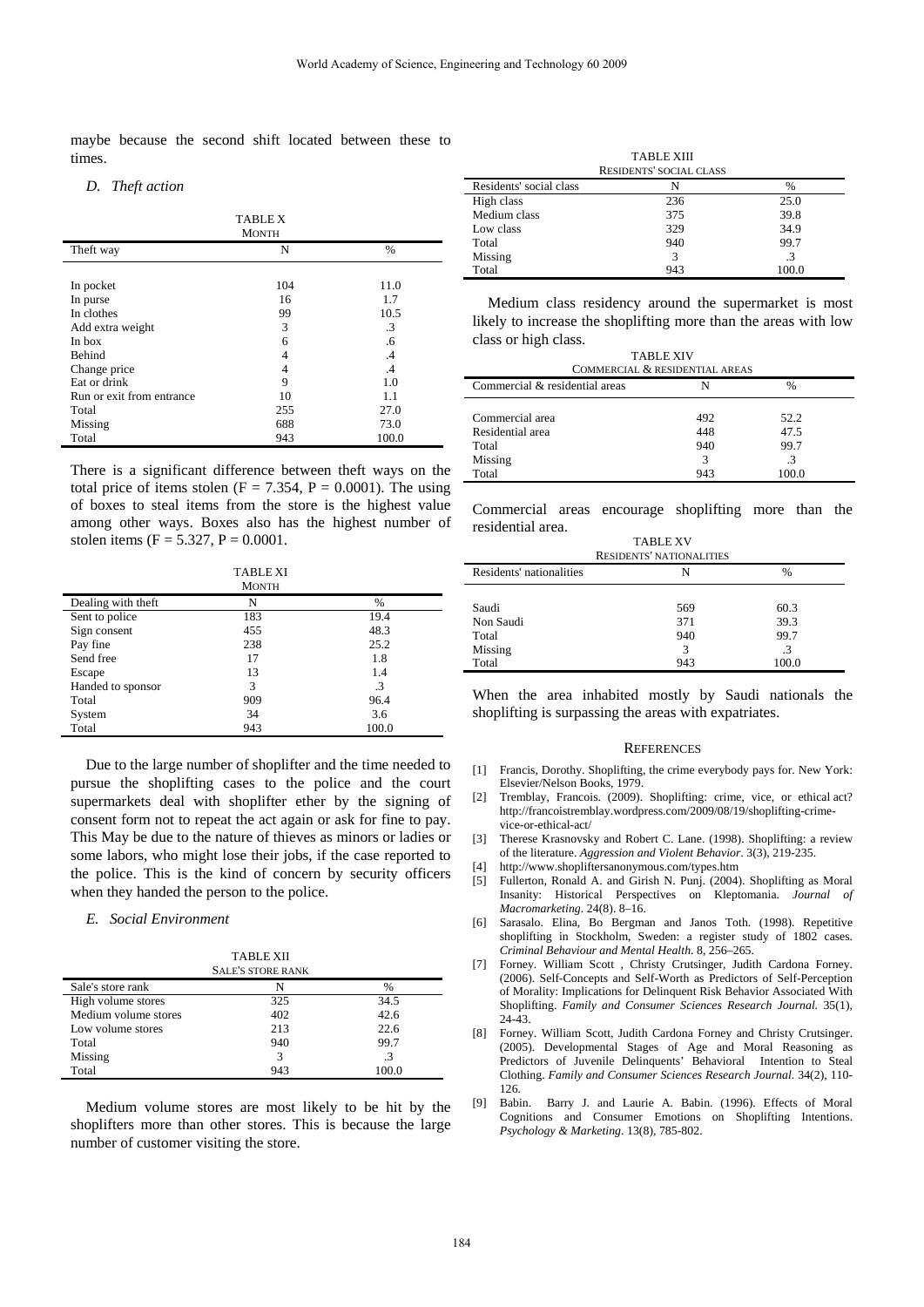maybe because the second shift located between these to times.

#### *D. Theft action*

| <b>TABLE X</b><br><b>MONTH</b> |     |               |  |
|--------------------------------|-----|---------------|--|
| Theft way                      | N   | %             |  |
|                                |     |               |  |
| In pocket                      | 104 | 11.0          |  |
| In purse                       | 16  | 1.7           |  |
| In clothes                     | 99  | 10.5          |  |
| Add extra weight               | 3   | .3            |  |
| In box                         | 6   | .6            |  |
| <b>Behind</b>                  | 4   | $\mathcal{A}$ |  |
| Change price                   | 4   | $\mathcal{A}$ |  |
| Eat or drink                   | 9   | 1.0           |  |
| Run or exit from entrance      | 10  | 1.1           |  |
| Total                          | 255 | 27.0          |  |
| Missing                        | 688 | 73.0          |  |
| Total                          | 943 | 100.0         |  |

There is a significant difference between theft ways on the total price of items stolen  $(F = 7.354, P = 0.0001)$ . The using of boxes to steal items from the store is the highest value among other ways. Boxes also has the highest number of stolen items ( $F = 5.327$ ,  $P = 0.0001$ .

TABLE XI **MONTH** 

|                    | IVIUN I H |       |
|--------------------|-----------|-------|
| Dealing with theft | N         | %     |
| Sent to police     | 183       | 19.4  |
| Sign consent       | 455       | 48.3  |
| Pay fine           | 238       | 25.2  |
| Send free          | 17        | 1.8   |
| Escape             | 13        | 1.4   |
| Handed to sponsor  | 3         | .3    |
| Total              | 909       | 96.4  |
| System             | 34        | 3.6   |
| Total              | 943       | 100.0 |

Due to the large number of shoplifter and the time needed to pursue the shoplifting cases to the police and the court supermarkets deal with shoplifter ether by the signing of consent form not to repeat the act again or ask for fine to pay. This May be due to the nature of thieves as minors or ladies or some labors, who might lose their jobs, if the case reported to the police. This is the kind of concern by security officers when they handed the person to the police.

## *E. Social Environment*

| <b>TABLE XII</b><br><b>SALE'S STORE RANK</b> |     |       |
|----------------------------------------------|-----|-------|
| Sale's store rank                            | N   | %     |
| High volume stores                           | 325 | 34.5  |
| Medium volume stores                         | 402 | 42.6  |
| Low volume stores                            | 213 | 22.6  |
| Total                                        | 940 | 99.7  |
| Missing                                      | 3   | .3    |
| Total                                        | 943 | 100.0 |

Medium volume stores are most likely to be hit by the shoplifters more than other stores. This is because the large number of customer visiting the store.

| <b>TABLE XIII</b>              |     |       |  |  |  |
|--------------------------------|-----|-------|--|--|--|
| <b>RESIDENTS' SOCIAL CLASS</b> |     |       |  |  |  |
| Residents' social class        | N   | %     |  |  |  |
| High class                     | 236 | 25.0  |  |  |  |
| Medium class                   | 375 | 39.8  |  |  |  |
| Low class                      | 329 | 34.9  |  |  |  |
| Total                          | 940 | 99.7  |  |  |  |
| Missing                        | 3   | .3    |  |  |  |
| Total                          | 943 | 100.0 |  |  |  |

Medium class residency around the supermarket is most likely to increase the shoplifting more than the areas with low class or high class.

| <b>TABLE XIV</b>               |     |       |  |  |
|--------------------------------|-----|-------|--|--|
| COMMERCIAL & RESIDENTIAL AREAS |     |       |  |  |
| Commercial & residential areas |     | %     |  |  |
|                                |     |       |  |  |
| Commercial area                | 492 | 52.2  |  |  |
| Residential area               | 448 | 47.5  |  |  |
| Total                          | 940 | 99.7  |  |  |
| Missing                        | 3   | .3    |  |  |
| Total                          | 943 | 100.0 |  |  |

Commercial areas encourage shoplifting more than the residential area.

|                          | <b>TABLE XV</b><br><b>RESIDENTS' NATIONALITIES</b> |       |
|--------------------------|----------------------------------------------------|-------|
| Residents' nationalities | N                                                  | %     |
|                          |                                                    |       |
| Saudi                    | 569                                                | 60.3  |
| Non Saudi                | 371                                                | 39.3  |
| Total                    | 940                                                | 99.7  |
| Missing                  | 3                                                  | .3    |
| Total                    | 943                                                | 100.0 |
|                          |                                                    |       |

When the area inhabited mostly by Saudi nationals the shoplifting is surpassing the areas with expatriates.

#### **REFERENCES**

- [1] Francis, Dorothy. Shoplifting, the crime everybody pays for. New York: Elsevier/Nelson Books, 1979.
- [2] Tremblay, Francois. (2009). Shoplifting: crime, vice, or ethical act? http://francoistremblay.wordpress.com/2009/08/19/shoplifting-crimevice-or-ethical-act/
- [3] Therese Krasnovsky and Robert C. Lane. (1998). Shoplifting: a review of the literature. *Aggression and Violent Behavior*. 3(3), 219-235.
- [4] http://www.shopliftersanonymous.com/types.htm
- [5] Fullerton, Ronald A. and Girish N. Punj. (2004). Shoplifting as Moral Insanity: Historical Perspectives on Kleptomania. *Journal of Macromarketing.* 24(8). 8–16.
- [6] Sarasalo. Elina, Bo Bergman and Janos Toth. (1998). Repetitive shoplifting in Stockholm, Sweden: a register study of 1802 cases. *Criminal Behaviour and Mental Health*. 8, 256–265.
- [7] Forney. William Scott , Christy Crutsinger, Judith Cardona Forney. (2006). Self-Concepts and Self-Worth as Predictors of Self-Perception of Morality: Implications for Delinquent Risk Behavior Associated With Shoplifting. *Family and Consumer Sciences Research Journal.* 35(1), 24-43.
- [8] Forney. William Scott, Judith Cardona Forney and Christy Crutsinger. (2005). Developmental Stages of Age and Moral Reasoning as Predictors of Juvenile Delinquents' Behavioral Intention to Steal Clothing. *Family and Consumer Sciences Research Journal*. 34(2), 110- 126.
- [9] Babin. Barry J. and Laurie A. Babin. (1996). Effects of Moral Cognitions and Consumer Emotions on Shoplifting Intentions. *Psychology & Marketing*. 13(8), 785-802.